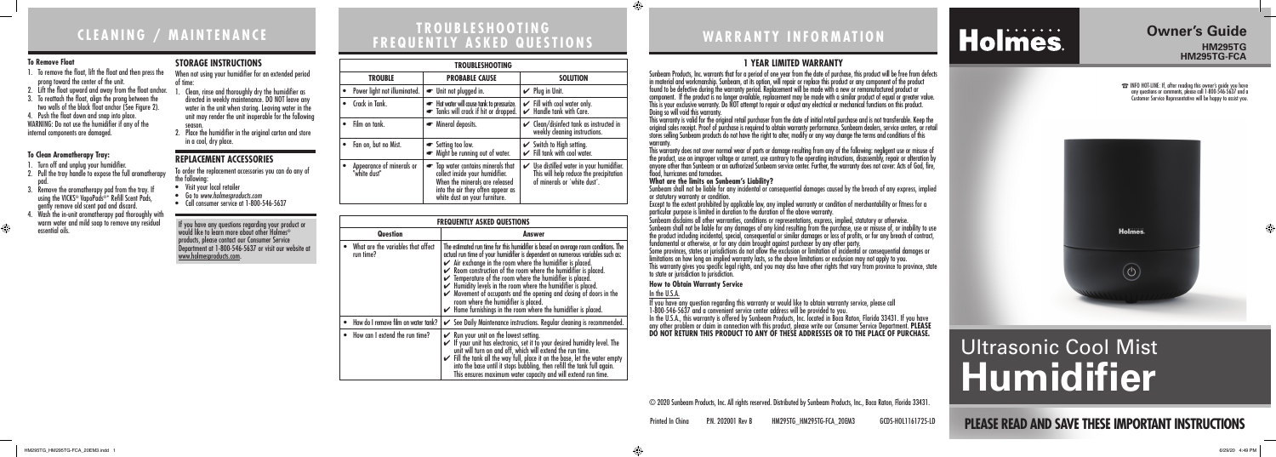|  | <b>TROUBLESHOOTING</b> |                                   |  |
|--|------------------------|-----------------------------------|--|
|  |                        | <b>FREQUENTLY ASKED QUESTIONS</b> |  |

# **PLEASE READ AND SAVE THESE IMPORTANT INSTRUCTIONS**

#### **Owner's Guide HM295TG HM295TG-FCA**

# **WARRANTY INFORMATION**

# **Holmes**

# Ultrasonic Cool Mist **Humidifier**

### **1 YEAR LIMITED WARRANTY**

Sunbeam Products, Inc. warrants that for a period of one year from the date of purchase, this product will be free from defects in material and workmanship. Sunbeam, at its option, will repair or replace this product or any component of the product found to be defective during the warranty period. Replacement will be made with a new or remanufactured product or component. If the product is no longer available, replacement may be made with a similar product of equal or greater value. This is your exclusive warranty. Do NOT attempt to repair or adjust any electrical or mechanical functions on this product. Doing so will void this warranty. This warranty is valid for the original retail purchaser from the date of initial retail purchase and is not transferable. Keep the original sales receipt. Proof of purchase is required to obtain warranty performance. Sunbeam dealers, service centers, or retail stores selling Sunbeam products do not have the right to alter, modify or any way change the terms and conditions of this warranty.

This warranty does not cover normal wear of parts or damage resulting from any of the following: negligent use or misuse of the product, use on improper voltage or current, use contrary to the operating instructions, disassembly, repair or alteration by anyone other than Sunbeam or an authorized Sunbeam service center. Further, the warranty does not cover: Acts of God, fire,

#### **What are the limits on Sunbeam's Liability?**

Sunbeam shall not be liable for any incidental or consequential damages caused by the breach of any express, implied

Except to the extent prohibited by applicable law, any implied warranty or condition of merchantability or fitness for a particular purpose is limited in duration to the duration of the above warranty.

Sunbeam disclaims all other warranties, conditions or representations, express, implied, statutory or otherwise.

flood, hurricanes and tornadoes. or statutory warranty or condition. to state or jurisdiction to jurisdiction.

- 1. Turn off and unplug your humidifier.
- 2. Pull the tray handle to expose the full aromatherapy pad.
- 3. Remove the aromatherapy pad from the tray. If using the VICKS® VapoPads<sup>®\*</sup> Refill Scent Pads. gently remove old scent pad and discard.
- 4. Wash the in-unit aromatherapy pad thoroughly with warm water and mild soap to remove any residual essential oils.

Sunbeam shall not be liable for any damages of any kind resulting from the purchase, use or misuse of, or inability to use the product including incidental, special, consequential or similar damages or loss of profits, or for any breach of contract, fundamental or otherwise, or for any claim brought against purchaser by any other party.

- Visit your local retailer
- Go to *www.holmesproducts.com*
- Call consumer service at 1-800-546-5637

Some provinces, states or jurisdictions do not allow the exclusion or limitation of incidental or consequential damages or limitations on how long an implied warranty lasts, so the above limitations or exclusion may not apply to you.

This warranty gives you specific legal rights, and you may also have other rights that vary from province to province, state

#### **How to Obtain Warranty Service**

In the U.S.A. If you have any question regarding this warranty or would like to obtain warranty service, please call 1-800-546-5637 and a convenient service center address will be provided to you. In the U.S.A., this warranty is offered by Sunbeam Products, Inc. located in Boca Raton, Florida 33431. If you have any other problem or claim in connection with this product, please write our Consumer Service Department. **PLEASE DO NOT RETURN THIS PRODUCT TO ANY OF THESE ADDRESSES OR TO THE PLACE OF PURCHASE.** 

© 2020 Sunbeam Products, Inc. All rights reserved. Distributed by Sunbeam Products, Inc., Boca Raton, Florida 33431.

6/29/20 4:49 PM<br>6/29/20 4:49 PM

☎ INFO HOT-LINE: If, after reading this owner's guide you have any questions or comments, please call 1-800-546-5637 and a Customer Service Representative will be happy to assist you.



# **CLEANING / MAINTENANCE**

#### **To Remove Float**

- 1. To remove the float, lift the float and then press the prong toward the center of the unit.
- 2. Lift the float upward and away from the float anchor.
- 3. To reattach the float, align the prong between the two walls of the black float anchor (See Figure 2).

4. Push the float down and snap into place. WARNING: Do not use the humidifier if any of the internal components are damaged.

#### **To Clean Aromatherapy Tray:**

⊕

#### **STORAGE INSTRUCTIONS**

- When not using your humidifier for an extended period of time:
- 1. Clean, rinse and thoroughly dry the humidifier as directed in weekly maintenance. DO NOT leave any water in the unit when storing. Leaving water in the unit may render the unit inoperable for the following season.
- 2. Place the humidifier in the original carton and store in a cool, dry place.

#### **REPLACEMENT ACCESSORIES**

To order the replacement accessories you can do any of the following:

If you have any questions regarding your product or would like to learn more about other Holmes® products, please contact our Consumer Service Department at 1-800-546-5637 or visit our website at www.holmesproducts.com.

|                |  | <b>TROUBLESHOOTING</b>                    |                                                                                                                                                                             |  |                                                                                                                    |  |
|----------------|--|-------------------------------------------|-----------------------------------------------------------------------------------------------------------------------------------------------------------------------------|--|--------------------------------------------------------------------------------------------------------------------|--|
| <b>TROUBLE</b> |  |                                           | <b>PROBABLE CAUSE</b>                                                                                                                                                       |  | <b>SOLUTION</b>                                                                                                    |  |
|                |  | Power light not illuminated.              | • Unit not plugged in.                                                                                                                                                      |  | $\mathcal V$ Plug in Unit.                                                                                         |  |
|                |  | Crack in Tank.                            | Hot water will cause tank to pressurize.<br>Tanks will crack if hit or dropped.                                                                                             |  | $\checkmark$ Fill with cool water only.<br>$\checkmark$ Handle tank with Care.                                     |  |
|                |  | Film on tank.                             | Mineral deposits.                                                                                                                                                           |  | $\mathcal V$ Clean/disinfect tank as instructed in<br>weekly cleaning instructions.                                |  |
|                |  | Fan on, but no Mist.                      | Setting too low.<br>Might be running out of water.                                                                                                                          |  | Switch to High setting.<br>Fill tank with cool water.                                                              |  |
|                |  | Appearance of minerals or<br>"white dust" | Tap water contains minerals that<br>collect inside your humidifier.<br>When the minerals are released<br>into the air they often appear as<br>white dust on your furniture. |  | Use distilled water in your humidifier.<br>This will help reduce the precipitation<br>of minerals or `white dust'. |  |

| <b>FREQUENTLY ASKED QUESTIONS</b>               |                                                                                                                                                                                                                                                                                                                                                                                                                                                                                                                                                                                                                                                                                                                      |  |  |  |
|-------------------------------------------------|----------------------------------------------------------------------------------------------------------------------------------------------------------------------------------------------------------------------------------------------------------------------------------------------------------------------------------------------------------------------------------------------------------------------------------------------------------------------------------------------------------------------------------------------------------------------------------------------------------------------------------------------------------------------------------------------------------------------|--|--|--|
| Question                                        | Answer                                                                                                                                                                                                                                                                                                                                                                                                                                                                                                                                                                                                                                                                                                               |  |  |  |
| What are the variables that affect<br>run time? | The estimated run time for this humidifier is based on average room conditions. The<br>actual run time of your humidifier is dependent on numerous variables such as:<br>$\blacktriangleright$ Air exchange in the room where the humidifier is placed.<br>$\swarrow$ Room construction of the room where the humidifier is placed.<br>$\checkmark$ Temperature of the room where the humidifier is placed.<br>$\blacktriangleright$ Humidity levels in the room where the humidifier is placed.<br>$\triangleright$ Movement of occupants and the opening and closing of doors in the<br>room where the humidifier is placed.<br>$\blacktriangleright$ Home furnishings in the room where the humidifier is placed. |  |  |  |
| How do I remove film on water tank?             | $\checkmark$ See Daily Maintenance instructions. Regular cleaning is recommended.                                                                                                                                                                                                                                                                                                                                                                                                                                                                                                                                                                                                                                    |  |  |  |
| How can I extend the run time?                  | $\mathcal V$ Run your unit on the lowest setting.<br>If your unit has electronics, set it to your desired humidity level. The<br>unit will turn on and off, which will extend the run time.<br>$\checkmark$ Fill the tank all the way full, place it on the base, let the water empty<br>into the base until it stops bubbling, then refill the tank full again.<br>This ensures maximum water capacity and will extend run time.                                                                                                                                                                                                                                                                                    |  |  |  |